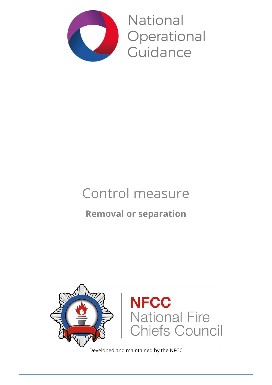

**National** Operational Guidance

# Control measure

## **Removal or separation**



Developed and maintained by the NFCC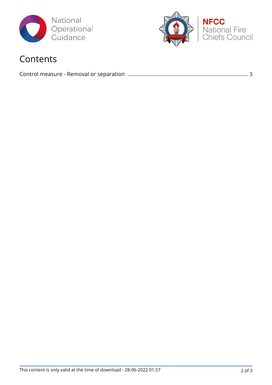



### Contents